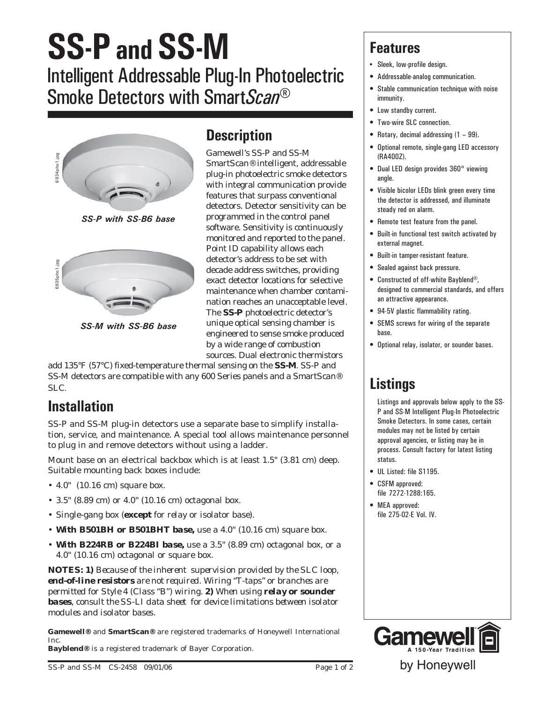# **SS-P and SS-M** Intelligent Addressable Plug-In Photoelectric Smoke Detectors with Smart*Scan*®



*SS-P with SS-B6 base*



*SS-M with SS-B6 base*

## **Description**

Gamewell's SS-P and SS-M Smart*Scan*® intelligent, addressable plug-in photoelectric smoke detectors with integral communication provide features that surpass conventional detectors. Detector sensitivity can be programmed in the control panel software. Sensitivity is continuously monitored and reported to the panel. Point ID capability allows each detector's address to be set with decade address switches, providing exact detector locations for selective maintenance when chamber contamination reaches an unacceptable level. The **SS-P** photoelectric detector's unique optical sensing chamber is engineered to sense smoke produced by a wide range of combustion sources. Dual electronic thermistors

add 135°F (57°C) fixed-temperature thermal sensing on the **SS-M**. SS-P and SS-M detectors are compatible with any 600 Series panels and a Smart*Scan*® SLC.

## **Installation**

SS-P and SS-M plug-in detectors use a separate base to simplify installation, service, and maintenance. A special tool allows maintenance personnel to plug in and remove detectors without using a ladder.

Mount base on an electrical backbox which is at least 1.5" (3.81 cm) deep. Suitable mounting back boxes include:

- 4.0" (10.16 cm) square box.
- 3.5" (8.89 cm) or 4.0" (10.16 cm) octagonal box.
- Single-gang box *(except for relay or isolator base)*.
- *With B501BH or B501BHT base,* use a 4.0" (10.16 cm) square box.
- With B224RB or B224BI base, use a 3.5" (8.89 cm) octagonal box, or a 4.0" (10.16 cm) octagonal or square box.

*NOTES: 1) Because of the inherent supervision provided by the SLC loop, end-of-line resistors are not required. Wiring "T-taps" or branches are permitted for Style 4 (Class "B") wiring. 2) When using relay or sounder bases, consult the SS-LI data sheet for device limitations between isolator modules and isolator bases.*

**Gamewell®** and **SmartScan®** are registered trademarks of Honeywell International Inc.

**Bayblend®** is a registered trademark of Bayer Corporation.

### **Features**

- Sleek, low-profile design.
- Addressable-analog communication.
- Stable communication technique with noise immunity.
- Low standby current.
- Two-wire SLC connection.
- Rotary, decimal addressing (1 99).
- Optional remote, single-gang LED accessory (RA400Z).
- Dual LED design provides 360° viewing angle
- Visible bicolor LEDs blink green every time the detector is addressed, and illuminate steady red on alarm.
- Remote test feature from the panel.
- Built-in functional test switch activated by external magnet.
- Built-in tamper-resistant feature.
- Sealed against back pressure.
- Constructed of off-white Bayblend®, designed to commercial standards, and offers an attractive appearance.
- 94-5V plastic flammability rating.
- SEMS screws for wiring of the separate base.
- Optional relay, isolator, or sounder bases.

# **Listings**

Listings and approvals below apply to the SS-P and SS-M Intelligent Plug-In Photoelectric Smoke Detectors. In some cases, certain modules may not be listed by certain approval agencies, or listing may be in process. Consult factory for latest listing status.

- UL Listed: file S1195.
- CSFM approved: file 7272-1288:165.
- MEA approved: file 275-02-E Vol. IV.



by Honeywell